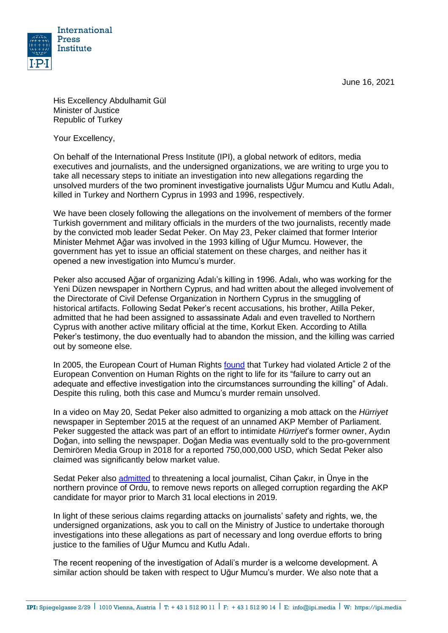June 16, 2021



His Excellency Abdulhamit Gül Minister of Justice Republic of Turkey

Your Excellency,

On behalf of the International Press Institute (IPI), a global network of editors, media executives and journalists, and the undersigned organizations, we are writing to urge you to take all necessary steps to initiate an investigation into new allegations regarding the unsolved murders of the two prominent investigative journalists Uğur Mumcu and Kutlu Adalı, killed in Turkey and Northern Cyprus in 1993 and 1996, respectively.

We have been closely following the allegations on the involvement of members of the former Turkish government and military officials in the murders of the two journalists, recently made by the convicted mob leader Sedat Peker. On May 23, Peker claimed that former Interior Minister Mehmet Ağar was involved in the 1993 killing of Uğur Mumcu. However, the government has yet to issue an official statement on these charges, and neither has it opened a new investigation into Mumcu's murder.

Peker also accused Ağar of organizing Adalı's killing in 1996. Adalı, who was working for the Yeni Düzen newspaper in Northern Cyprus, and had written about the alleged involvement of the Directorate of Civil Defense Organization in Northern Cyprus in the smuggling of historical artifacts. Following Sedat Peker's recent accusations, his brother, Atilla Peker, admitted that he had been assigned to assassinate Adalı and even travelled to Northern Cyprus with another active military official at the time, Korkut Eken. According to Atilla Peker's testimony, the duo eventually had to abandon the mission, and the killing was carried out by someone else.

In 2005, the European Court of Human Rights [found](http://hudoc.echr.coe.int/eng?i=001-68670) that Turkey had violated Article 2 of the European Convention on Human Rights on the right to life for its "failure to carry out an adequate and effective investigation into the circumstances surrounding the killing" of Adalı. Despite this ruling, both this case and Mumcu's murder remain unsolved.

In a video on May 20, Sedat Peker also admitted to organizing a [mob attack](https://freeturkeyjournalists.ipi.media/ipi-condemns-mob-attack-on-turkish-daily-criminal-charges/) on the *Hürriyet* newspaper in September 2015 at the request of an unnamed AKP Member of Parliament. Peker suggested the attack was part of an effort to intimidate *Hürriyet*'s former owner, Aydın Doğan, into selling the newspaper. Doğan Media was eventually sold to the pro-government Demirören Media Group in 2018 for a reported 750,000,000 USD, which Sedat Peker also claimed was significantly below market value.

Sedat Peker also [admitted](https://www.gazeteduvar.com.tr/gazeteci-cakir-sedat-peker-gecmiste-yazdigim-haberi-kaldirtmak-istedi-haber-1524621) to threatening a local journalist, Cihan Çakır, in Ünye in the northern province of Ordu, to remove news reports on alleged corruption regarding the AKP candidate for mayor prior to March 31 local elections in 2019.

In light of these serious claims regarding attacks on journalists' safety and rights, we, the undersigned organizations, ask you to call on the Ministry of Justice to undertake thorough investigations into these allegations as part of necessary and long overdue efforts to bring justice to the families of Uğur Mumcu and Kutlu Adalı.

The recent reopening of the investigation of Adali's murder is a welcome development. A similar action should be taken with respect to Uğur Mumcu's murder. We also note that a